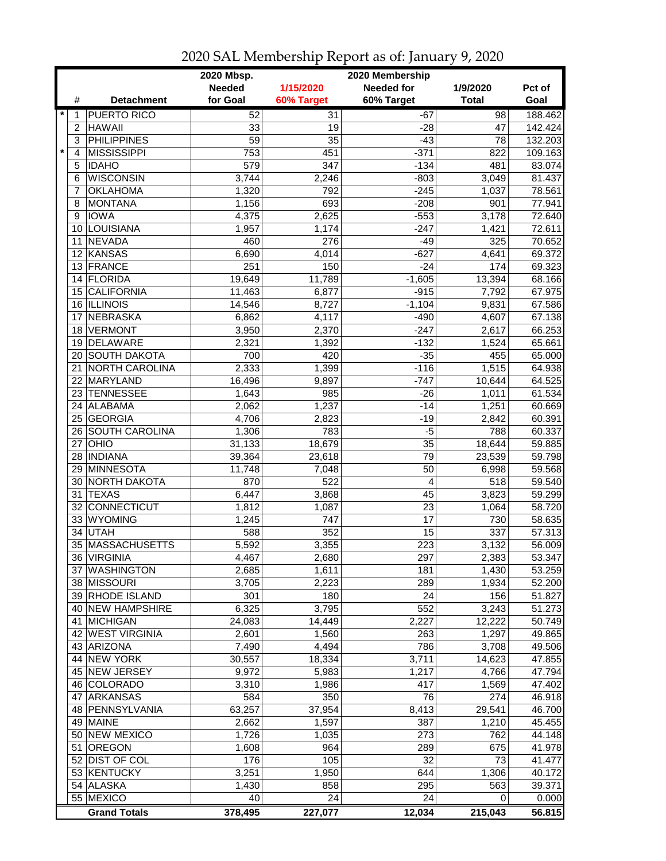|                  |                     | 2020 Mbsp.      |            | 2020 Membership   |              |         |
|------------------|---------------------|-----------------|------------|-------------------|--------------|---------|
|                  |                     | <b>Needed</b>   | 1/15/2020  | <b>Needed for</b> | 1/9/2020     | Pct of  |
| #                | <b>Detachment</b>   | for Goal        | 60% Target | 60% Target        | <b>Total</b> | Goal    |
| $\star$          | <b>PUERTO RICO</b>  | 52              | 31         | $-67$             | 98           | 188.462 |
| 2                | <b>HAWAII</b>       | 33              | 19         | $-28$             | 47           | 142.424 |
| 3                | <b>PHILIPPINES</b>  | $\overline{59}$ | 35         | $-43$             | 78           | 132.203 |
| $\star$<br>4     | <b>MISSISSIPPI</b>  | 753             | 451        | $-371$            | 822          | 109.163 |
| 5                | <b>IDAHO</b>        | 579             | 347        | $-134$            | 481          | 83.074  |
| 6                | <b>WISCONSIN</b>    | 3,744           | 2,246      | $-803$            | 3,049        | 81.437  |
| 7                | <b>OKLAHOMA</b>     | 1,320           | 792        | $-245$            | 1,037        | 78.561  |
| 8                | <b>MONTANA</b>      | 1,156           | 693        | $-208$            | 901          | 77.941  |
| 9                | <b>IOWA</b>         | 4,375           | 2,625      | $-553$            | 3,178        | 72.640  |
| 10               | LOUISIANA           | 1,957           | 1,174      | $-247$            | 1,421        | 72.611  |
| 11               | <b>NEVADA</b>       | 460             | 276        | $-49$             | 325          | 70.652  |
| 12               | KANSAS              | 6,690           | 4,014      | $-627$            | 4,641        | 69.372  |
|                  | 13 FRANCE           | 251             | 150        | $-24$             | 174          | 69.323  |
| 14               | FLORIDA             | 19,649          | 11,789     | $-1,605$          | 13,394       | 68.166  |
| 15 <sup>15</sup> | <b>CALIFORNIA</b>   | 11,463          | 6,877      | $-915$            | 7,792        | 67.975  |
|                  | 16 ILLINOIS         | 14,546          | 8,727      | $-1,104$          | 9,831        | 67.586  |
| 17               | <b>NEBRASKA</b>     | 6,862           | 4,117      | $-490$            | 4,607        | 67.138  |
| 18               | <b>VERMONT</b>      | 3,950           | 2,370      | $-247$            | 2,617        | 66.253  |
| 19               | <b>DELAWARE</b>     | 2,321           | 1,392      | $-132$            | 1,524        | 65.661  |
|                  | 20 SOUTH DAKOTA     | 700             | 420        | $-35$             | 455          | 65.000  |
| 21               | NORTH CAROLINA      | 2,333           | 1,399      | $-116$            | 1,515        | 64.938  |
|                  | 22 MARYLAND         | 16,496          | 9,897      | $-747$            | 10,644       | 64.525  |
|                  | 23 TENNESSEE        | 1,643           | 985        | $-26$             | 1,011        | 61.534  |
|                  | 24 ALABAMA          | 2,062           | 1,237      | $-14$             | 1,251        | 60.669  |
|                  | 25 GEORGIA          | 4,706           | 2,823      | $-19$             | 2,842        | 60.391  |
| 26               | SOUTH CAROLINA      | 1,306           | 783        | $-5$              | 788          | 60.337  |
| 27               | OHIO                | 31,133          | 18,679     | 35                | 18,644       | 59.885  |
| 28               | <b>INDIANA</b>      | 39,364          | 23,618     | 79                | 23,539       | 59.798  |
| 29               | MINNESOTA           | 11,748          | 7,048      | 50                | 6,998        | 59.568  |
| 30               | NORTH DAKOTA        | 870             | 522        | 4                 | 518          | 59.540  |
| 31               | <b>TEXAS</b>        | 6,447           | 3,868      | 45                | 3,823        | 59.299  |
| 32               | CONNECTICUT         | 1,812           | 1,087      | 23                | 1,064        | 58.720  |
|                  | 33 WYOMING          | 1,245           | 747        | 17                | 730          | 58.635  |
| 34               | <b>UTAH</b>         | 588             | 352        | 15                | 337          | 57.313  |
|                  | 35 MASSACHUSETTS    | 5,592           | 3,355      | 223               | 3,132        | 56.009  |
|                  | 36 VIRGINIA         | 4,467           | 2,680      | 297               | 2,383        | 53.347  |
|                  | 37 WASHINGTON       | 2,685           | 1,611      | 181               | 1,430        | 53.259  |
|                  | 38 MISSOURI         | 3,705           | 2,223      | 289               | 1,934        | 52.200  |
|                  | 39 RHODE ISLAND     | 301             | 180        | 24                | 156          | 51.827  |
|                  | 40 NEW HAMPSHIRE    | 6,325           | 3,795      | 552               | 3,243        | 51.273  |
|                  | 41 MICHIGAN         | 24,083          | 14,449     | 2,227             | 12,222       | 50.749  |
|                  | 42 WEST VIRGINIA    | 2,601           | 1,560      | 263               | 1,297        | 49.865  |
|                  | 43 ARIZONA          | 7,490           | 4,494      | 786               | 3,708        | 49.506  |
|                  | 44 NEW YORK         | 30,557          | 18,334     | 3,711             | 14,623       | 47.855  |
|                  | 45 NEW JERSEY       | 9,972           | 5,983      | 1,217             | 4,766        | 47.794  |
|                  | 46 COLORADO         | 3,310           | 1,986      | 417               | 1,569        | 47.402  |
|                  | 47 ARKANSAS         | 584             | 350        | 76                | 274          | 46.918  |
|                  | 48   PENNSYLVANIA   | 63,257          | 37,954     | 8,413             | 29,541       | 46.700  |
|                  | 49 MAINE            | 2,662           | 1,597      | 387               | 1,210        | 45.455  |
|                  | 50 NEW MEXICO       | 1,726           | 1,035      | 273               | 762          | 44.148  |
| 51               | <b>OREGON</b>       | 1,608           | 964        | 289               | 675          | 41.978  |
|                  | 52 DIST OF COL      | 176             | 105        | 32                | 73           | 41.477  |
|                  | 53 KENTUCKY         | 3,251           | 1,950      | 644               | 1,306        | 40.172  |
|                  | 54 ALASKA           | 1,430           | 858        | 295               | 563          | 39.371  |
|                  | 55 MEXICO           | 40              | 24         | 24                | 0            | 0.000   |
|                  | <b>Grand Totals</b> | 378,495         | 227,077    | 12,034            | 215,043      | 56.815  |

2020 SAL Membership Report as of: January 9, 2020